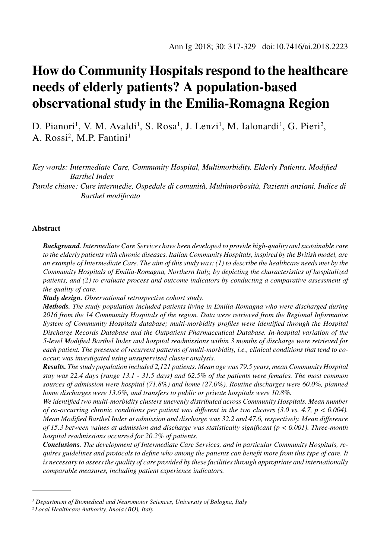# **How do Community Hospitals respond to the healthcare needs of elderly patients? A population-based observational study in the Emilia-Romagna Region**

D. Pianori<sup>1</sup>, V. M. Avaldi<sup>1</sup>, S. Rosa<sup>1</sup>, J. Lenzi<sup>1</sup>, M. Ialonardi<sup>1</sup>, G. Pieri<sup>2</sup>, A. Rossi<sup>2</sup>, M.P. Fantini<sup>1</sup>

*Key words: Intermediate Care, Community Hospital, Multimorbidity, Elderly Patients, Modified Barthel Index*

*Parole chiave: Cure intermedie, Ospedale di comunità, Multimorbosità, Pazienti anziani, Indice di Barthel modificato*

## **Abstract**

*Background. Intermediate Care Services have been developed to provide high-quality and sustainable care to the elderly patients with chronic diseases. Italian Community Hospitals, inspired by the British model, are an example of Intermediate Care. The aim of this study was: (1) to describe the healthcare needs met by the Community Hospitals of Emilia-Romagna, Northern Italy, by depicting the characteristics of hospitalized patients, and (2) to evaluate process and outcome indicators by conducting a comparative assessment of the quality of care.*

*Study design. Observational retrospective cohort study.*

*Methods. The study population included patients living in Emilia-Romagna who were discharged during 2016 from the 14 Community Hospitals of the region. Data were retrieved from the Regional Informative System of Community Hospitals database; multi-morbidity profiles were identified through the Hospital Discharge Records Database and the Outpatient Pharmaceutical Database. In-hospital variation of the 5-level Modified Barthel Index and hospital readmissions within 3 months of discharge were retrieved for each patient. The presence of recurrent patterns of multi-morbidity, i.e., clinical conditions that tend to cooccur, was investigated using unsupervised cluster analysis.*

*Results. The study population included 2,121 patients. Mean age was 79.5 years, mean Community Hospital stay was 22.4 days (range 13.1 - 31.5 days) and 62.5% of the patients were females. The most common sources of admission were hospital (71.8%) and home (27.0%). Routine discharges were 60.0%, planned home discharges were 13.6%, and transfers to public or private hospitals were 10.8%.*

*We identified two multi-morbidity clusters unevenly distributed across Community Hospitals. Mean number of co-occurring chronic conditions per patient was different in the two clusters (3.0 vs. 4.7, p < 0.004). Mean Modified Barthel Index at admission and discharge was 32.2 and 47.6, respectively. Mean difference of 15.3 between values at admission and discharge was statistically significant (p < 0.001). Three-month hospital readmissions occurred for 20.2% of patients.*

*Conclusions. The development of Intermediate Care Services, and in particular Community Hospitals, requires guidelines and protocols to define who among the patients can benefit more from this type of care. It is necessary to assess the quality of care provided by these facilities through appropriate and internationally comparable measures, including patient experience indicators.*

<sup>&</sup>lt;sup>1</sup> Department of Biomedical and Neuromotor Sciences, University of Bologna, Italy

*<sup>2</sup> Local Healthcare Authority, Imola (BO), Italy*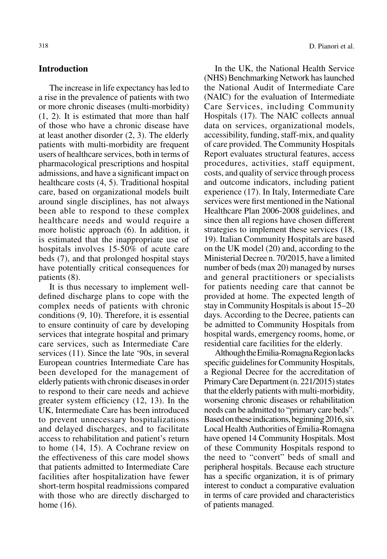# **Introduction**

The increase in life expectancy has led to a rise in the prevalence of patients with two or more chronic diseases (multi-morbidity) (1, 2). It is estimated that more than half of those who have a chronic disease have at least another disorder (2, 3). The elderly patients with multi-morbidity are frequent users of healthcare services, both in terms of pharmacological prescriptions and hospital admissions, and have a significant impact on healthcare costs (4, 5). Traditional hospital care, based on organizational models built around single disciplines, has not always been able to respond to these complex healthcare needs and would require a more holistic approach (6). In addition, it is estimated that the inappropriate use of hospitals involves 15-50% of acute care beds (7), and that prolonged hospital stays have potentially critical consequences for patients (8).

It is thus necessary to implement welldefined discharge plans to cope with the complex needs of patients with chronic conditions (9, 10). Therefore, it is essential to ensure continuity of care by developing services that integrate hospital and primary care services, such as Intermediate Care services (11). Since the late '90s, in several European countries Intermediate Care has been developed for the management of elderly patients with chronic diseases in order to respond to their care needs and achieve greater system efficiency (12, 13). In the UK, Intermediate Care has been introduced to prevent unnecessary hospitalizations and delayed discharges, and to facilitate access to rehabilitation and patient's return to home (14, 15). A Cochrane review on the effectiveness of this care model shows that patients admitted to Intermediate Care facilities after hospitalization have fewer short-term hospital readmissions compared with those who are directly discharged to home (16).

In the UK, the National Health Service (NHS) Benchmarking Network has launched the National Audit of Intermediate Care (NAIC) for the evaluation of Intermediate Care Services, including Community Hospitals (17). The NAIC collects annual data on services, organizational models, accessibility, funding, staff-mix, and quality of care provided. The Community Hospitals Report evaluates structural features, access procedures, activities, staff equipment, costs, and quality of service through process and outcome indicators, including patient experience (17). In Italy, Intermediate Care services were first mentioned in the National Healthcare Plan 2006-2008 guidelines, and since then all regions have chosen different strategies to implement these services (18, 19). Italian Community Hospitals are based on the UK model (20) and, according to the Ministerial Decree n. 70/2015, have a limited number of beds (max 20) managed by nurses and general practitioners or specialists for patients needing care that cannot be provided at home. The expected length of stay in Community Hospitals is about 15–20 days. According to the Decree, patients can be admitted to Community Hospitals from hospital wards, emergency rooms, home, or residential care facilities for the elderly.

Although the Emilia-Romagna Region lacks specific guidelines for Community Hospitals, a Regional Decree for the accreditation of Primary Care Department (n. 221/2015) states that the elderly patients with multi-morbidity, worsening chronic diseases or rehabilitation needs can be admitted to "primary care beds". Based on these indications, beginning 2016, six Local Health Authorities of Emilia-Romagna have opened 14 Community Hospitals. Most of these Community Hospitals respond to the need to "convert" beds of small and peripheral hospitals. Because each structure has a specific organization, it is of primary interest to conduct a comparative evaluation in terms of care provided and characteristics of patients managed.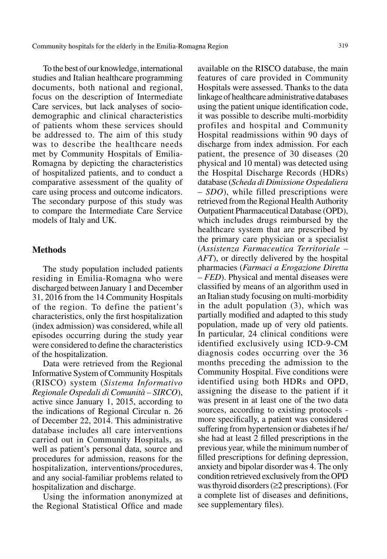To the best of our knowledge, international studies and Italian healthcare programming documents, both national and regional, focus on the description of Intermediate Care services, but lack analyses of sociodemographic and clinical characteristics of patients whom these services should be addressed to. The aim of this study was to describe the healthcare needs met by Community Hospitals of Emilia-Romagna by depicting the characteristics of hospitalized patients, and to conduct a comparative assessment of the quality of care using process and outcome indicators. The secondary purpose of this study was to compare the Intermediate Care Service models of Italy and UK.

# **Methods**

The study population included patients residing in Emilia-Romagna who were discharged between January 1 and December 31, 2016 from the 14 Community Hospitals of the region. To define the patient's characteristics, only the first hospitalization (index admission) was considered, while all episodes occurring during the study year were considered to define the characteristics of the hospitalization.

Data were retrieved from the Regional Informative System of Community Hospitals (RISCO) system (*Sistema Informativo Regionale Ospedali di Comunità – SIRCO*), active since January 1, 2015, according to the indications of Regional Circular n. 26 of December 22, 2014. This administrative database includes all care interventions carried out in Community Hospitals, as well as patient's personal data, source and procedures for admission, reasons for the hospitalization, interventions/procedures, and any social-familiar problems related to hospitalization and discharge.

Using the information anonymized at the Regional Statistical Office and made

available on the RISCO database, the main features of care provided in Community Hospitals were assessed. Thanks to the data linkage of healthcare administrative databases using the patient unique identification code, it was possible to describe multi-morbidity profiles and hospital and Community Hospital readmissions within 90 days of discharge from index admission. For each patient, the presence of 30 diseases (20 physical and 10 mental) was detected using the Hospital Discharge Records (HDRs) database (*Scheda di Dimissione Ospedaliera – SDO*), while filled prescriptions were retrieved from the Regional Health Authority Outpatient Pharmaceutical Database (OPD), which includes drugs reimbursed by the healthcare system that are prescribed by the primary care physician or a specialist (*Assistenza Farmaceutica Territoriale – AFT*), or directly delivered by the hospital pharmacies (*Farmaci a Erogazione Diretta – FED*). Physical and mental diseases were classified by means of an algorithm used in an Italian study focusing on multi-morbidity in the adult population (3), which was partially modified and adapted to this study population, made up of very old patients. In particular, 24 clinical conditions were identified exclusively using ICD-9-CM diagnosis codes occurring over the 36 months preceding the admission to the Community Hospital. Five conditions were identified using both HDRs and OPD, assigning the disease to the patient if it was present in at least one of the two data sources, according to existing protocols more specifically, a patient was considered suffering from hypertension or diabetes if he/ she had at least 2 filled prescriptions in the previous year, while the minimum number of filled prescriptions for defining depression, anxiety and bipolar disorder was 4. The only condition retrieved exclusively from the OPD was thyroid disorders (≥2 prescriptions). (For a complete list of diseases and definitions, see supplementary files).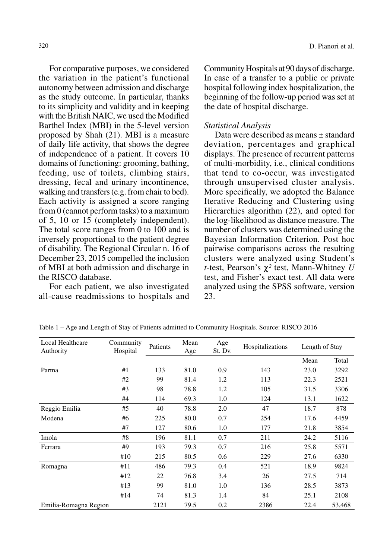For comparative purposes, we considered the variation in the patient's functional autonomy between admission and discharge as the study outcome. In particular, thanks to its simplicity and validity and in keeping with the British NAIC, we used the Modified Barthel Index (MBI) in the 5-level version proposed by Shah (21). MBI is a measure of daily life activity, that shows the degree of independence of a patient. It covers 10 domains of functioning: grooming, bathing, feeding, use of toilets, climbing stairs, dressing, fecal and urinary incontinence, walking and transfers (e.g. from chair to bed). Each activity is assigned a score ranging from 0 (cannot perform tasks) to a maximum of 5, 10 or 15 (completely independent). The total score ranges from 0 to 100 and is inversely proportional to the patient degree of disability. The Regional Circular n. 16 of December 23, 2015 compelled the inclusion of MBI at both admission and discharge in the RISCO database.

For each patient, we also investigated all-cause readmissions to hospitals and Community Hospitals at 90 days of discharge. In case of a transfer to a public or private hospital following index hospitalization, the beginning of the follow-up period was set at the date of hospital discharge.

## *Statistical Analysis*

Data were described as means ± standard deviation, percentages and graphical displays. The presence of recurrent patterns of multi-morbidity, i.e., clinical conditions that tend to co-occur, was investigated through unsupervised cluster analysis. More specifically, we adopted the Balance Iterative Reducing and Clustering using Hierarchies algorithm (22), and opted for the log-likelihood as distance measure. The number of clusters was determined using the Bayesian Information Criterion. Post hoc pairwise comparisons across the resulting clusters were analyzed using Student's *t*-test, Pearson's χ*²* test, Mann-Whitney *U* test, and Fisher's exact test. All data were analyzed using the SPSS software, version 23.

| Local Healthcare<br>Authority | Community<br>Hospital | Patients | Mean<br>Age | Age<br>St. Dv. | Hospitalizations | Length of Stay |        |
|-------------------------------|-----------------------|----------|-------------|----------------|------------------|----------------|--------|
|                               |                       |          |             |                |                  | Mean           | Total  |
| Parma                         | #1                    | 133      | 81.0        | 0.9            | 143              | 23.0           | 3292   |
|                               | #2                    | 99       | 81.4        | 1.2            | 113              | 22.3           | 2521   |
|                               | #3                    | 98       | 78.8        | 1.2            | 105              | 31.5           | 3306   |
|                               | #4                    | 114      | 69.3        | 1.0            | 124              | 13.1           | 1622   |
| Reggio Emilia                 | #5                    | 40       | 78.8        | 2.0            | 47               | 18.7           | 878    |
| Modena                        | #6                    | 225      | 80.0        | 0.7            | 254              | 17.6           | 4459   |
|                               | #7                    | 127      | 80.6        | 1.0            | 177              | 21.8           | 3854   |
| Imola                         | #8                    | 196      | 81.1        | 0.7            | 211              | 24.2           | 5116   |
| Ferrara                       | #9                    | 193      | 79.3        | 0.7            | 216              | 25.8           | 5571   |
|                               | #10                   | 215      | 80.5        | 0.6            | 229              | 27.6           | 6330   |
| Romagna                       | #11                   | 486      | 79.3        | 0.4            | 521              | 18.9           | 9824   |
|                               | #12                   | 22       | 76.8        | 3.4            | 26               | 27.5           | 714    |
|                               | #13                   | 99       | 81.0        | 1.0            | 136              | 28.5           | 3873   |
|                               | #14                   | 74       | 81.3        | 1.4            | 84               | 25.1           | 2108   |
| Emilia-Romagna Region         |                       | 2121     | 79.5        | 0.2            | 2386             | 22.4           | 53,468 |

Table 1 – Age and Length of Stay of Patients admitted to Community Hospitals. Source: RISCO 2016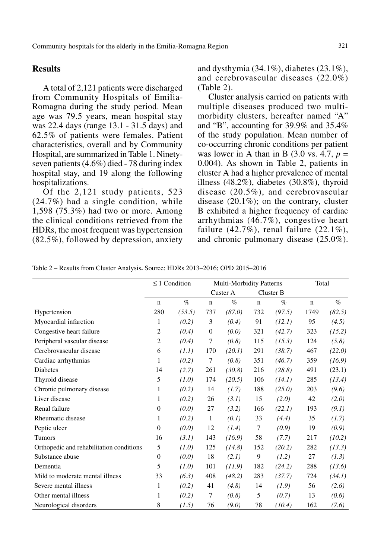# **Results**

A total of 2,121 patients were discharged from Community Hospitals of Emilia-Romagna during the study period. Mean age was 79.5 years, mean hospital stay was 22.4 days (range 13.1 - 31.5 days) and 62.5% of patients were females. Patient characteristics, overall and by Community Hospital, are summarized in Table 1. Ninetyseven patients (4.6%) died - 78 during index hospital stay, and 19 along the following hospitalizations.

Of the 2,121 study patients, 523 (24.7%) had a single condition, while 1,598 (75.3%) had two or more. Among the clinical conditions retrieved from the HDRs, the most frequent was hypertension (82.5%), followed by depression, anxiety and dysthymia  $(34.1\%)$ , diabetes  $(23.1\%)$ , and cerebrovascular diseases (22.0%) (Table 2).

Cluster analysis carried on patients with multiple diseases produced two multimorbidity clusters, hereafter named "A" and "B", accounting for 39.9% and 35.4% of the study population. Mean number of co-occurring chronic conditions per patient was lower in A than in B  $(3.0 \text{ vs. } 4.7, p =$ 0.004). As shown in Table 2, patients in cluster A had a higher prevalence of mental illness (48.2%), diabetes (30.8%), thyroid disease (20.5%), and cerebrovascular disease (20.1%); on the contrary, cluster B exhibited a higher frequency of cardiac arrhythmias (46.7%), congestive heart failure  $(42.7\%)$ , renal failure  $(22.1\%)$ , and chronic pulmonary disease (25.0%).

Table 2 – Results from Cluster Analysis**.** Source: HDRs 2013–2016; OPD 2015–2016

|                                          |                  | $\leq 1$ Condition |             | <b>Multi-Morbidity Patterns</b> |             |           | Total       |        |
|------------------------------------------|------------------|--------------------|-------------|---------------------------------|-------------|-----------|-------------|--------|
|                                          |                  |                    |             | Custer A                        |             | Cluster B |             |        |
|                                          | $\mathbf n$      | $\%$               | $\mathbf n$ | $\%$                            | $\mathbf n$ | $\%$      | $\mathbf n$ | $\%$   |
| Hypertension                             | 280              | (53.5)             | 737         | (87.0)                          | 732         | (97.5)    | 1749        | (82.5) |
| Myocardial infarction                    | 1                | (0.2)              | 3           | (0.4)                           | 91          | (12.1)    | 95          | (4.5)  |
| Congestive heart failure                 | $\overline{c}$   | (0.4)              | 0           | (0.0)                           | 321         | (42.7)    | 323         | (15.2) |
| Peripheral vascular disease              | $\overline{2}$   | (0.4)              | 7           | (0.8)                           | 115         | (15.3)    | 124         | (5.8)  |
| Cerebrovascular disease                  | 6                | (1.1)              | 170         | (20.1)                          | 291         | (38.7)    | 467         | (22.0) |
| Cardiac arrhythmias                      | 1                | (0.2)              | 7           | (0.8)                           | 351         | (46.7)    | 359         | (16.9) |
| Diabetes                                 | 14               | (2.7)              | 261         | (30.8)                          | 216         | (28.8)    | 491         | (23.1) |
| Thyroid disease                          | 5                | (1.0)              | 174         | (20.5)                          | 106         | (14.1)    | 285         | (13.4) |
| Chronic pulmonary disease                | 1                | (0.2)              | 14          | (1.7)                           | 188         | (25.0)    | 203         | (9.6)  |
| Liver disease                            | 1                | (0.2)              | 26          | (3.1)                           | 15          | (2.0)     | 42          | (2.0)  |
| Renal failure                            | $\mathbf{0}$     | (0.0)              | 27          | (3.2)                           | 166         | (22.1)    | 193         | (9.1)  |
| Rheumatic disease                        | 1                | (0.2)              | 1           | (0.1)                           | 33          | (4.4)     | 35          | (1.7)  |
| Peptic ulcer                             | $\theta$         | (0.0)              | 12          | (1.4)                           | 7           | (0.9)     | 19          | (0.9)  |
| Tumors                                   | 16               | (3.1)              | 143         | (16.9)                          | 58          | (7.7)     | 217         | (10.2) |
| Orthopedic and rehabilitation conditions | 5                | (1.0)              | 125         | (14.8)                          | 152         | (20.2)    | 282         | (13.3) |
| Substance abuse                          | $\boldsymbol{0}$ | (0.0)              | 18          | (2.1)                           | 9           | (1.2)     | 27          | (1.3)  |
| Dementia                                 | 5                | (1.0)              | 101         | (11.9)                          | 182         | (24.2)    | 288         | (13.6) |
| Mild to moderate mental illness          | 33               | (6.3)              | 408         | (48.2)                          | 283         | (37.7)    | 724         | (34.1) |
| Severe mental illness                    | 1                | (0.2)              | 41          | (4.8)                           | 14          | (1.9)     | 56          | (2.6)  |
| Other mental illness                     | 1                | (0.2)              | 7           | (0.8)                           | 5           | (0.7)     | 13          | (0.6)  |
| Neurological disorders                   | 8                | (1.5)              | 76          | (9.0)                           | 78          | (10.4)    | 162         | (7.6)  |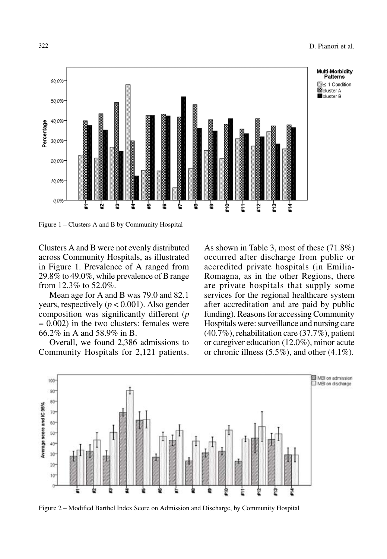

Figure 1 – Clusters A and B by Community Hospital

Clusters A and B were not evenly distributed across Community Hospitals, as illustrated in Figure 1. Prevalence of A ranged from 29.8% to 49.0%, while prevalence of B range from 12.3% to 52.0%.

Mean age for A and B was 79.0 and 82.1 years, respectively  $(p < 0.001)$ . Also gender composition was significantly different (*p*  $= 0.002$ ) in the two clusters: females were 66.2% in A and 58.9% in B.

Overall, we found 2,386 admissions to Community Hospitals for 2,121 patients. As shown in Table 3, most of these (71.8%) occurred after discharge from public or accredited private hospitals (in Emilia-Romagna, as in the other Regions, there are private hospitals that supply some services for the regional healthcare system after accreditation and are paid by public funding). Reasons for accessing Community Hospitals were: surveillance and nursing care (40.7%), rehabilitation care (37.7%), patient or caregiver education (12.0%), minor acute or chronic illness  $(5.5\%)$ , and other  $(4.1\%)$ .



Figure 2 – Modified Barthel Index Score on Admission and Discharge, by Community Hospital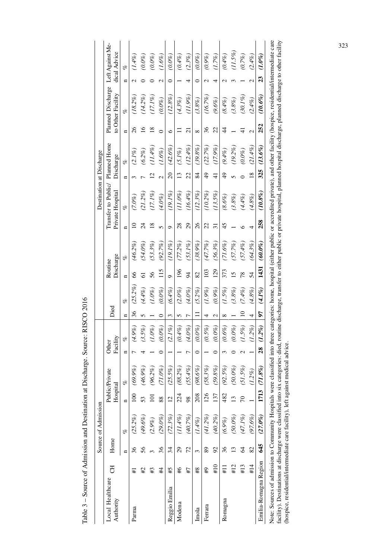| Local Healthcare                        |                            | Source of Admission |                        |                        |                   |           |                 |            |                      |            |                 | Destination at Discharge                |                |                           |                 |                                        |               |                                  |
|-----------------------------------------|----------------------------|---------------------|------------------------|------------------------|-------------------|-----------|-----------------|------------|----------------------|------------|-----------------|-----------------------------------------|----------------|---------------------------|-----------------|----------------------------------------|---------------|----------------------------------|
| FO<br>Authority                         |                            | Home                | Public/Pri<br>Hospital | ivate                  | Facility<br>Other |           | Died            |            | Discharge<br>Routine |            |                 | Transfer to Public/<br>Private Hospital |                | Planned Home<br>Discharge |                 | Planned Discharge<br>to Other Facility |               | Left Against Me-<br>dical Advice |
|                                         | $\mathbf{u}$               | of                  | $\blacksquare$         | of                     | $\mathbf{u}$      | of        | $\mathbf{r}$    | of         | n                    | of         | $\mathbf{u}$    | o                                       | $\mathbf{u}$   | o                         | $\mathbf{u}$    | oz                                     | n             | oz                               |
| $\overline{+}$<br>Parma                 | 36                         | $(25.2\%)$          | $\overline{100}$       | $(69.9\%)$             |                   | $(4.9\%)$ | 36              | $(25.2\%)$ | 66                   | $(46.2\%)$ | $\overline{10}$ | $(7.0\%)$                               | 3              | $(2.1\%)$                 | 26              | $(18.2\%)$                             | $\mathcal{L}$ | $(1.4\%)$                        |
| #2                                      | 56                         | $(49.6\%)$          | 53                     | (46.9%                 |                   | (3.5%)    | 5               | (4.4%)     | $\overline{6}$       | $(54.0\%)$ | $\overline{24}$ | $(21.2\%)$                              | $\overline{ }$ | (6.2%)                    | $\overline{16}$ | $(14.2\%$                              | $\circ$       | $(0.0\%)$                        |
| #3                                      | $\mathfrak{g}$             | $(2.9\%)$           | $\overline{a}$         | $(96.2\%$              |                   | $(1.0\%)$ |                 | $(1.0\%)$  | 56                   | $(53.3\%)$ | 18              | (17.1%)                                 | 12             | (11.4%)                   | 18              | $(17.1\%)$                             | $\circ$       | $(0.0\%)$                        |
| #4                                      | 36                         | $(29.0\%)$          | 88                     | $(71.0\%)$             | 0                 | $(0.0\%)$ | $\circ$         | $(0.0\%)$  | 115                  | (92.7%     | $\sigma$        | $(4.0\%)$                               | $\mathcal{L}$  | $(1.6\%)$                 | $\circ$         | (0.0%)                                 | $\mathbf{C}$  | $(1.6\%)$                        |
| 5#<br>Reggio Emilia                     | 34                         | (72.3%)             | 12                     | 5.5%)<br>$\tilde{c}$   |                   | (2.1%     | 3               | (6.4%)     | $\circ$              | $(19.1\%)$ | $\circ$         | $(19.1\%$                               | $\infty$       | (42.6%                    | $\circ$         | $(12.8\%$                              | $\circ$       | $(0.0\%)$                        |
| ₩,<br>Modena                            | 29                         | $(11.4\%)$          | 224                    | $(88.2\%)$             |                   | (0.4%)    | 5               | $(2.0\%)$  | 196                  | $(77.2\%)$ | 28              | $(11.0\%)$                              | $\mathbf{r}$   | $(5.1\%)$                 | 〓               | $(4.3\%)$                              |               | (0.4%)                           |
| #7                                      | 72                         | $(40.7\%)$          | 98                     | $(55.4\%)$             | 7                 | $(4.0\%)$ | $\overline{ }$  | $(4.0\%)$  | $\overline{5}$       | $(53.1\%)$ | 29              | $(16.4\%)$                              | 22             | $(12.4\%)$                | $\overline{z}$  | $(11.9\%)$                             | 4             | (2.3%)                           |
| $\ast$<br>Imola                         | $\sim$                     | $(1.4\%)$           | 208                    | $(98.6\%)$             | $\circ$           | $(0.0\%)$ | Ξ               | $(5.2\%)$  | 82                   | (38.9%)    | 26              | (12.3%)                                 | 84             | (39.8%)                   | ${}^{\circ}$    | (3.8%)                                 | $\circ$       | $(0.0\%)$                        |
| $\uparrow\!\!\!\!\downarrow$<br>Ferrara | $\,89$                     | (41.2%              | 126                    | $(58.3\%)$             |                   | $(0.5\%)$ | 4               | (1.9%)     | 103                  | $(47.7\%)$ | 22              | $(10.2\%)$                              | $\frac{1}{2}$  | (22.7%)                   | 36              | (16.7%                                 | $\mathbf{c}$  | $(0.9\%)$                        |
| #10                                     | 92                         | (40.2%)             | 137                    | $(59.8\%)$             | $\circ$           | $(0.0\%)$ | $\mathbf{C}$    | $(0.9\%)$  | 129                  | (56.3%)    | $\overline{31}$ | $(13.5\%)$                              | $\overline{4}$ | (17.9%                    | 22              | $(9.6\%)$                              | 4             | (1.7%)                           |
| #11<br>Romagna                          | 36                         | $(6.9\%)$           | 482                    | (92.5%                 | 3                 | $(0.6\%)$ | $\infty$        | $(1.5\%)$  | 373                  | $(71.6\%)$ | 45              | $(8.6\%)$                               | $\overline{4}$ | (9.4%)                    | $\ddot{4}$      | $(8.4\%)$                              | $\mathcal{L}$ | (0.4%)                           |
| #12                                     | 13                         | $(50.0\%)$          | 13                     | $(50.0\%)$             | ○                 | $(0.0\%)$ |                 | (3.8%)     | 15                   | (57.7%)    |                 | (3.8%)                                  | 5              | (19.2%)                   |                 | (3.8%)                                 | $\epsilon$    | $(11.5\%)$                       |
| #13                                     | $\mathcal{A}$              | (47.1%              | $\mathcal{L}$          | 1.5%<br>$\overline{c}$ | $\sim$            | $(1.5\%)$ | $\overline{10}$ | (7.4%)     | 78                   | $(57.4\%)$ | ৩               | (4.4%)                                  | $\circ$        | $(0.0\%)$                 | $\pm$           | $(30.1\%)$                             |               | (0.7%)                           |
| #14                                     | $\boldsymbol{\mathcal{S}}$ | (97.6%)             |                        | $(1.2\%)$              |                   | (1.2%)    | 4               | $(4.8\%)$  | 54                   | $(64.3\%)$ | 4               | (4.8%)                                  | 18             | $(21.4\%)$                | $\mathcal{L}$   | (2.4%)                                 | $\mathcal{L}$ | (2.4%                            |
| Emilia-Romagna Region                   | 645                        | $(27.0\%)$          | 1713                   | $1.8\%$<br>C)          | 28                | $(1.2\%)$ | 5               | $(4.1\%)$  | 1431                 | $(60.0\%)$ | 258             | $(10.8\%)$                              | 325            | $(13.6\%)$                | 252             | $(10.6\%$                              | 23            | $(1.0\%)$                        |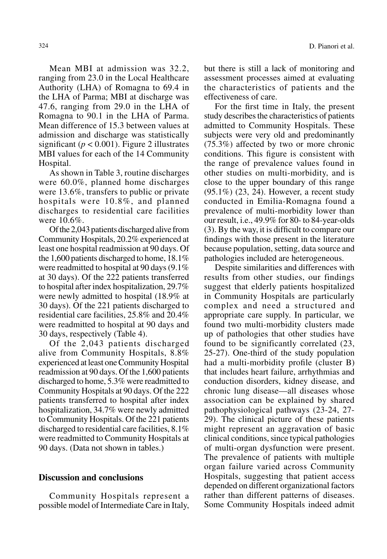Mean MBI at admission was 32.2, ranging from 23.0 in the Local Healthcare Authority (LHA) of Romagna to 69.4 in the LHA of Parma; MBI at discharge was 47.6, ranging from 29.0 in the LHA of Romagna to 90.1 in the LHA of Parma. Mean difference of 15.3 between values at admission and discharge was statistically significant ( $p < 0.001$ ). Figure 2 illustrates MBI values for each of the 14 Community Hospital.

As shown in Table 3, routine discharges were 60.0%, planned home discharges were 13.6%, transfers to public or private hospitals were 10.8%, and planned discharges to residential care facilities were 10.6%.

Of the 2,043 patients discharged alive from Community Hospitals, 20.2% experienced at least one hospital readmission at 90 days. Of the 1,600 patients discharged to home, 18.1% were readmitted to hospital at 90 days (9.1% at 30 days). Of the 222 patients transferred to hospital after index hospitalization, 29.7% were newly admitted to hospital (18.9% at 30 days). Of the 221 patients discharged to residential care facilities, 25.8% and 20.4% were readmitted to hospital at 90 days and 30 days, respectively (Table 4).

Of the 2,043 patients discharged alive from Community Hospitals, 8.8% experienced at least one Community Hospital readmission at 90 days. Of the 1,600 patients discharged to home, 5.3% were readmitted to Community Hospitals at 90 days. Of the 222 patients transferred to hospital after index hospitalization, 34.7% were newly admitted to Community Hospitals. Of the 221 patients discharged to residential care facilities, 8.1% were readmitted to Community Hospitals at 90 days. (Data not shown in tables.)

# **Discussion and conclusions**

Community Hospitals represent a possible model of Intermediate Care in Italy, but there is still a lack of monitoring and assessment processes aimed at evaluating the characteristics of patients and the effectiveness of care.

For the first time in Italy, the present study describes the characteristics of patients admitted to Community Hospitals. These subjects were very old and predominantly (75.3%) affected by two or more chronic conditions. This figure is consistent with the range of prevalence values found in other studies on multi-morbidity, and is close to the upper boundary of this range (95.1%) (23, 24). However, a recent study conducted in Emilia-Romagna found a prevalence of multi-morbidity lower than our result, i.e., 49.9% for 80- to 84-year-olds (3). By the way, it is difficult to compare our findings with those present in the literature because population, setting, data source and pathologies included are heterogeneous.

Despite similarities and differences with results from other studies, our findings suggest that elderly patients hospitalized in Community Hospitals are particularly complex and need a structured and appropriate care supply. In particular, we found two multi-morbidity clusters made up of pathologies that other studies have found to be significantly correlated (23, 25-27). One-third of the study population had a multi-morbidity profile (cluster B) that includes heart failure, arrhythmias and conduction disorders, kidney disease, and chronic lung disease—all diseases whose association can be explained by shared pathophysiological pathways (23-24, 27- 29). The clinical picture of these patients might represent an aggravation of basic clinical conditions, since typical pathologies of multi-organ dysfunction were present. The prevalence of patients with multiple organ failure varied across Community Hospitals, suggesting that patient access depended on different organizational factors rather than different patterns of diseases. Some Community Hospitals indeed admit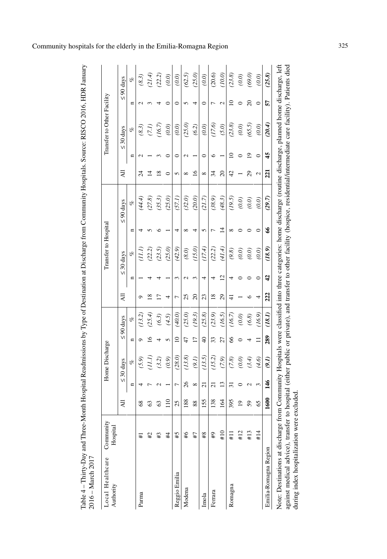| $\frac{1}{2}$ |                                  |
|---------------|----------------------------------|
|               |                                  |
| くく            |                                  |
|               |                                  |
|               |                                  |
| ֠             |                                  |
|               |                                  |
|               |                                  |
|               |                                  |
| י<br>י        |                                  |
|               |                                  |
|               |                                  |
|               |                                  |
|               |                                  |
|               |                                  |
|               |                                  |
|               |                                  |
|               |                                  |
|               |                                  |
|               |                                  |
| ĺ             |                                  |
| I             | t<br>۱<br>١<br>l                 |
| I             | ł                                |
| Í             | $\begin{array}{c} \n\end{array}$ |

| Local Healthcare<br>Authority | Community<br>Hospital |                       |                 | Home Discharge |                 |                |                     |                  | Transfer to Hospital |               |                |                 |    | Transfer to Other Facility |                 |                |
|-------------------------------|-----------------------|-----------------------|-----------------|----------------|-----------------|----------------|---------------------|------------------|----------------------|---------------|----------------|-----------------|----|----------------------------|-----------------|----------------|
|                               |                       | ⋖                     |                 | $\leq 30$ days |                 | $\leq 90$ days | ₹                   |                  | $\leq 30$ days       |               | $\leq 90$ days | ₹               |    | $\leq 30$ days             |                 | $\leq 90$ days |
|                               |                       |                       | Ξ               | olo            | Ξ               | ofo            |                     | Ξ                | olo                  | Ξ             | of             |                 | ⋍  | of                         | Ξ               | of             |
| Parma                         | $\pm$                 |                       | ↤               | (5.9)          | ٥               | (13.2)         |                     |                  | (1.I)                |               | (44.4)         | 24              |    | (8.3)                      |                 | (8.3)          |
|                               | #2                    |                       |                 | (III)          | ⊵               | (25.4)         | $\overline{\infty}$ |                  | (22.2)               |               | (27.8)         | ᅼ               |    | (7.1)                      |                 | (21.4)         |
|                               | #3                    |                       |                 | (3.2)          |                 | (6.3)          | Ē                   |                  | (23.5)               |               | (35.3)         | $\overline{18}$ |    | (16.7)                     |                 | (22.2)         |
|                               | #4                    | $\approx$             |                 | (0.9)          | n               | (4.5)          |                     |                  | (25.0)               |               | (25.0)         | ∊               |    | (0.0)                      |                 | (0.0)          |
| Reggio Emilia                 | 5#                    | N)<br>$\mathbf{\sim}$ | ∼               | (28.0)         | $\overline{10}$ | (40.0)         | 7                   | 3                | (42.9)               | 4             | (57.1)         | 5               | ⊂  | (0.0)                      | ○               | (0.0)          |
| Modena                        | 46                    | 88                    | 26              | (13.8)         | 47              | (25.0)         | 25                  |                  | $(8.0)$              |               | (32.0)         | $\infty$        |    | (25.0)                     |                 | (62.5)         |
|                               | L#                    | 88                    | ${}^{\circ}$    | (9.1)          | $\overline{17}$ | (19.3)         | $\Omega$            |                  | (15.0)               |               | (20.0)         | $\overline{6}$  |    | (6.2)                      |                 | (25.0)         |
| Imola                         | $_{\rm \#8}$          | 155                   | $\overline{c}$  | (13.5)         | $\frac{1}{4}$   | (25.8)         | 23                  | 4                | (17.4)               | 5             | (21.7)         | $\infty$        | 0  | (0.0)                      | 0               | (0.0)          |
| Ferrara                       | ₽#                    | 38                    | ಸ               | (15.2)         | 33              | (23.9)         | $\frac{8}{2}$       |                  | (22.2)               |               | (38.9)         | 34              | ٥  | (17.6)                     |                 | (20.6)         |
|                               | #10                   | $\mathcal{L}$         | $\overline{13}$ | (7.9)          | 27              | (16.5)         | 29                  | $\overline{2}$   | (41.4)               | ᅼ             | (48.3)         | $\overline{20}$ |    | (5.0)                      | $\mathbf{\sim}$ | (10.0)         |
| Romagna                       | $\frac{11}{11}$       | 395                   | ಸ               | (7.8)          | 66              | (16.7)         | 4                   |                  | $(9.8)$              |               | (19.5)         | 42              | ≘  | (23.8)                     | ≘               | (23.8)         |
|                               | #12                   | $\circ$               |                 | (0.0)          |                 | $(0.0)$        |                     |                  | $(0.0)$              |               | $(0.0)$        |                 |    | $(0.0)$                    |                 | (0.0)          |
|                               | #13                   |                       |                 | (3.4)          |                 | $(6.8)$        |                     |                  | (0.0)                |               | $(0.0)$        | 29              | ە  | (65.5)                     | 20              | (69.0)         |
|                               | #14                   | Ю                     | 3               | (4.6)          |                 | (16.9)         |                     |                  | (0.0)                |               | (0.0)          | 2               | 0  | (0.0)                      | 0               | (0.0)          |
| Emilia-Romagna Region         |                       | 1600                  | 146             | (9.1)          | 289             | (18.1)         | 222                 | $\boldsymbol{d}$ | (18.9)               | $\frac{8}{5}$ | (29.7)         | 221             | 45 | (20.4)                     | 57              | (25.8)         |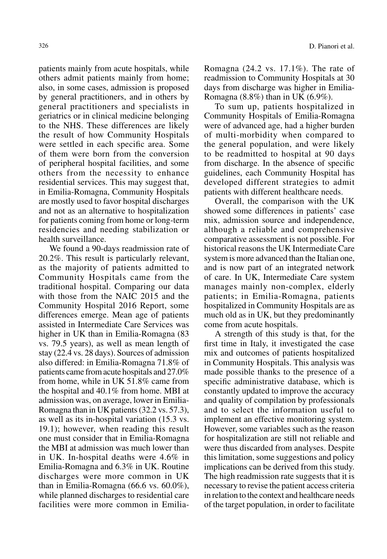patients mainly from acute hospitals, while others admit patients mainly from home; also, in some cases, admission is proposed by general practitioners, and in others by general practitioners and specialists in geriatrics or in clinical medicine belonging to the NHS. These differences are likely the result of how Community Hospitals were settled in each specific area. Some of them were born from the conversion of peripheral hospital facilities, and some others from the necessity to enhance residential services. This may suggest that, in Emilia-Romagna, Community Hospitals are mostly used to favor hospital discharges and not as an alternative to hospitalization for patients coming from home or long-term residencies and needing stabilization or health surveillance.

We found a 90-days readmission rate of 20.2%. This result is particularly relevant, as the majority of patients admitted to Community Hospitals came from the traditional hospital. Comparing our data with those from the NAIC 2015 and the Community Hospital 2016 Report, some differences emerge. Mean age of patients assisted in Intermediate Care Services was higher in UK than in Emilia-Romagna (83 vs. 79.5 years), as well as mean length of stay (22.4 vs. 28 days). Sources of admission also differed: in Emilia-Romagna 71.8% of patients came from acute hospitals and 27.0% from home, while in UK 51.8% came from the hospital and 40.1% from home. MBI at admission was, on average, lower in Emilia-Romagna than in UK patients (32.2 vs. 57.3), as well as its in-hospital variation (15.3 vs. 19.1); however, when reading this result one must consider that in Emilia-Romagna the MBI at admission was much lower than in UK. In-hospital deaths were 4.6% in Emilia-Romagna and 6.3% in UK. Routine discharges were more common in UK than in Emilia-Romagna (66.6 vs. 60.0%), while planned discharges to residential care facilities were more common in EmiliaRomagna (24.2 vs. 17.1%). The rate of readmission to Community Hospitals at 30 days from discharge was higher in Emilia-Romagna (8.8%) than in UK (6.9%).

To sum up, patients hospitalized in Community Hospitals of Emilia-Romagna were of advanced age, had a higher burden of multi-morbidity when compared to the general population, and were likely to be readmitted to hospital at 90 days from discharge. In the absence of specific guidelines, each Community Hospital has developed different strategies to admit patients with different healthcare needs.

Overall, the comparison with the UK showed some differences in patients' case mix, admission source and independence, although a reliable and comprehensive comparative assessment is not possible. For historical reasons the UK Intermediate Care system is more advanced than the Italian one, and is now part of an integrated network of care. In UK, Intermediate Care system manages mainly non-complex, elderly patients; in Emilia-Romagna, patients hospitalized in Community Hospitals are as much old as in UK, but they predominantly come from acute hospitals.

A strength of this study is that, for the first time in Italy, it investigated the case mix and outcomes of patients hospitalized in Community Hospitals. This analysis was made possible thanks to the presence of a specific administrative database, which is constantly updated to improve the accuracy and quality of compilation by professionals and to select the information useful to implement an effective monitoring system. However, some variables such as the reason for hospitalization are still not reliable and were thus discarded from analyses. Despite this limitation, some suggestions and policy implications can be derived from this study. The high readmission rate suggests that it is necessary to revise the patient access criteria in relation to the context and healthcare needs of the target population, in order to facilitate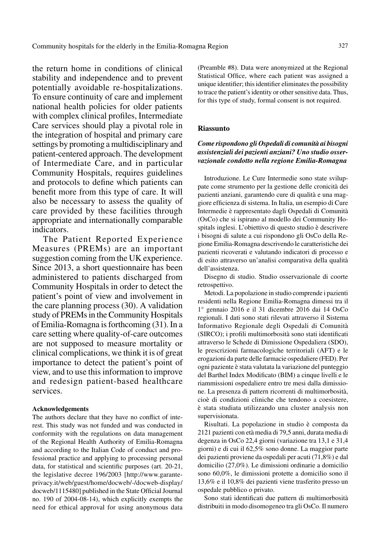the return home in conditions of clinical stability and independence and to prevent potentially avoidable re-hospitalizations. To ensure continuity of care and implement national health policies for older patients with complex clinical profiles, Intermediate Care services should play a pivotal role in the integration of hospital and primary care settings by promoting a multidisciplinary and patient-centered approach. The development of Intermediate Care, and in particular Community Hospitals, requires guidelines and protocols to define which patients can benefit more from this type of care. It will also be necessary to assess the quality of care provided by these facilities through appropriate and internationally comparable indicators.

The Patient Reported Experience Measures (PREMs) are an important suggestion coming from the UK experience. Since 2013, a short questionnaire has been administered to patients discharged from Community Hospitals in order to detect the patient's point of view and involvement in the care planning process (30). A validation study of PREMs in the Community Hospitals of Emilia-Romagna is forthcoming (31). In a care setting where quality-of-care outcomes are not supposed to measure mortality or clinical complications, we think it is of great importance to detect the patient's point of view, and to use this information to improve and redesign patient-based healthcare services.

#### **Acknowledgements**

The authors declare that they have no conflict of interest. This study was not funded and was conducted in conformity with the regulations on data management of the Regional Health Authority of Emilia-Romagna and according to the Italian Code of conduct and professional practice and applying to processing personal data, for statistical and scientific purposes (art. 20-21, the legislative decree 196/2003 [http://www.garanteprivacy.it/web/guest/home/docweb/-/docweb-display/ docweb/1115480] published in the State Official Journal no. 190 of 2004-08-14), which explicitly exempts the need for ethical approval for using anonymous data

(Preamble #8). Data were anonymized at the Regional Statistical Office, where each patient was assigned a unique identifier; this identifier eliminates the possibility to trace the patient's identity or other sensitive data. Thus, for this type of study, formal consent is not required.

#### **Riassunto**

# *Come rispondono gli Ospedali di comunità ai bisogni assistenziali dei pazienti anziani? Uno studio osservazionale condotto nella regione Emilia-Romagna*

Introduzione. Le Cure Intermedie sono state sviluppate come strumento per la gestione delle cronicità dei pazienti anziani, garantendo cure di qualità e una maggiore efficienza di sistema. In Italia, un esempio di Cure Intermedie è rappresentato dagli Ospedali di Comunità (OsCo) che si ispirano al modello dei Community Hospitals inglesi. L'obiettivo di questo studio è descrivere i bisogni di salute a cui rispondono gli OsCo della Regione Emilia-Romagna descrivendo le caratteristiche dei pazienti ricoverati e valutando indicatori di processo e di esito attraverso un'analisi comparativa della qualità dell'assistenza.

Disegno di studio. Studio osservazionale di coorte retrospettivo.

Metodi. La popolazione in studio comprende i pazienti residenti nella Regione Emilia-Romagna dimessi tra il 1° gennaio 2016 e il 31 dicembre 2016 dai 14 OsCo regionali. I dati sono stati rilevati attraverso il Sistema Informativo Regionale degli Ospedali di Comunità (SIRCO); i profili multimorbosità sono stati identificati attraverso le Schede di Dimissione Ospedaliera (SDO), le prescrizioni farmacologiche territoriali (AFT) e le erogazioni da parte delle farmacie ospedaliere (FED). Per ogni paziente è stata valutata la variazione del punteggio del Barthel Index Modificato (BIM) a cinque livelli e le riammissioni ospedaliere entro tre mesi dalla dimissione. La presenza di pattern ricorrenti di multimorbosità, cioè di condizioni cliniche che tendono a coesistere, è stata studiata utilizzando una cluster analysis non supervisionata.

Risultati. La popolazione in studio è composta da 2121 pazienti con età media di 79,5 anni, durata media di degenza in OsCo 22,4 giorni (variazione tra 13,1 e 31,4 giorni) e di cui il 62,5% sono donne. La maggior parte dei pazienti proviene da ospedali per acuti (71,8%) e dal domicilio (27,0%). Le dimissioni ordinarie a domicilio sono 60,0%, le dimissioni protette a domicilio sono il 13,6% e il 10,8% dei pazienti viene trasferito presso un ospedale pubblico o privato.

Sono stati identificati due pattern di multimorbosità distribuiti in modo disomogeneo tra gli OsCo. Il numero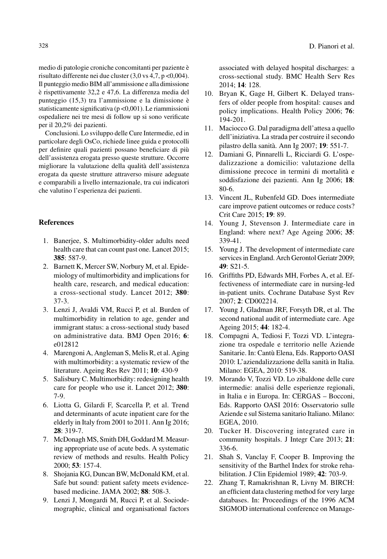medio di patologie croniche concomitanti per paziente è risultato differente nei due cluster (3,0 vs 4,7, p <0,004). Il punteggio medio BIM all'ammissione e alla dimissione è rispettivamente 32,2 e 47,6. La differenza media del punteggio (15,3) tra l'ammissione e la dimissione è statisticamente significativa (p <0,001). Le riammissioni ospedaliere nei tre mesi di follow up si sono verificate per il 20,2% dei pazienti.

Conclusioni. Lo sviluppo delle Cure Intermedie, ed in particolare degli OsCo, richiede linee guida e protocolli per definire quali pazienti possano beneficiare di più dell'assistenza erogata presso queste strutture. Occorre migliorare la valutazione della qualità dell'assistenza erogata da queste strutture attraverso misure adeguate e comparabili a livello internazionale, tra cui indicatori che valutino l'esperienza dei pazienti.

## **References**

- 1. Banerjee, S. Multimorbidity-older adults need health care that can count past one. Lancet 2015; **385**: 587-9.
- 2. Barnett K, Mercer SW, Norbury M, et al. Epidemiology of multimorbidity and implications for health care, research, and medical education: a cross-sectional study. Lancet 2012; **380**: 37-3.
- 3. Lenzi J, Avaldi VM, Rucci P, et al. Burden of multimorbidity in relation to age, gender and immigrant status: a cross-sectional study based on administrative data. BMJ Open 2016; **6**: e012812
- 4. Marengoni A, Angleman S, Melis R, et al. Aging with multimorbidity: a systematic review of the literature. Ageing Res Rev 2011; **10**: 430-9
- 5. Salisbury C. Multimorbidity: redesigning health care for people who use it. Lancet 2012; **380**: 7-9.
- 6. Liotta G, Gilardi F, Scarcella P, et al. Trend and determinants of acute inpatient care for the elderly in Italy from 2001 to 2011. Ann Ig 2016; **28**: 319-7.
- 7. McDonagh MS, Smith DH, Goddard M. Measuring appropriate use of acute beds. A systematic review of methods and results. Health Policy 2000; **53**: 157-4.
- 8. Shojania KG, Duncan BW, McDonald KM, et al. Safe but sound: patient safety meets evidencebased medicine. JAMA 2002; **88**: 508-3.
- 9. Lenzi J, Mongardi M, Rucci P, et al. Sociodemographic, clinical and organisational factors

associated with delayed hospital discharges: a cross-sectional study. BMC Health Serv Res 2014; **14**: 128.

- 10. Bryan K, Gage H, Gilbert K. Delayed transfers of older people from hospital: causes and policy implications. Health Policy 2006; **76**: 194-201.
- 11. Maciocco G. Dal paradigma dell'attesa a quello dell'iniziativa. La strada per costruire il secondo pilastro della sanità. Ann Ig 2007; **19**: 551-7.
- 12. Damiani G, Pinnarelli L, Ricciardi G. L'ospedalizzazione a domicilio: valutazione della dimissione precoce in termini di mortalità e soddisfazione dei pazienti. Ann Ig 2006; **18**: 80-6.
- 13. Vincent JL, Rubenfeld GD. Does intermediate care improve patient outcomes or reduce costs? Crit Care 2015; **19**: 89.
- 14. Young J, Stevenson J. Intermediate care in England: where next? Age Ageing 2006; **35**: 339-41.
- 15. Young J. The development of intermediate care services in England. Arch Gerontol Geriatr 2009; **49**: S21-5.
- 16. Griffiths PD, Edwards MH, Forbes A, et al. Effectiveness of intermediate care in nursing-led in-patient units. Cochrane Database Syst Rev 2007; **2**: CD002214.
- 17. Young J, Gladman JRF, Forsyth DR, et al. The second national audit of intermediate care. Age Ageing 2015; **44**: 182-4.
- 18. Compagni A, Tediosi F, Tozzi VD. L'integrazione tra ospedale e territorio nelle Aziende Sanitarie. In: Cantù Elena, Eds. Rapporto OASI 2010: L'aziendalizzazione della sanità in Italia. Milano: EGEA, 2010: 519-38.
- 19. Morando V, Tozzi VD. Lo zibaldone delle cure intermedie: analisi delle esperienze regionali, in Italia e in Europa. In: CERGAS – Bocconi, Eds. Rapporto OASI 2016: Osservatorio sulle Aziende e sul Sistema sanitario Italiano. Milano: EGEA, 2010.
- 20. Tucker H. Discovering integrated care in community hospitals. J Integr Care 2013; **21**: 336-6.
- 21. Shah S, Vanclay F, Cooper B. Improving the sensitivity of the Barthel Index for stroke rehabilitation. J Clin Epidemiol 1989; **42**: 703-9.
- 22. Zhang T, Ramakrishnan R, Livny M. BIRCH: an efficient data clustering method for very large databases. In: Proceedings of the 1996 ACM SIGMOD international conference on Manage-